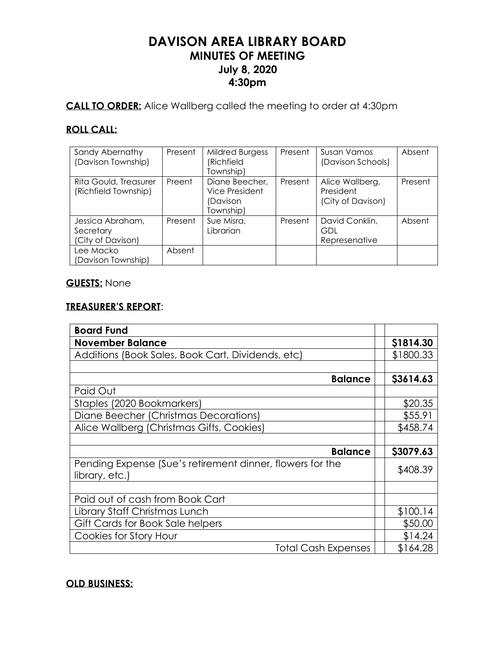# **DAVISON AREA LIBRARY BOARD MINUTES OF MEETING July 8, 2020 4:30pm**

**CALL TO ORDER:** Alice Wallberg called the meeting to order at 4:30pm

# **ROLL CALL:**

| Sandy Abernathy       | Present | <b>Mildred Burgess</b> | Present | Susan Vamos       | Absent  |
|-----------------------|---------|------------------------|---------|-------------------|---------|
| (Davison Township)    |         | (Richfield             |         | (Davison Schools) |         |
|                       |         | Township)              |         |                   |         |
| Rita Gould, Treasurer | Preent  | Diane Beecher,         | Present | Alice Wallberg,   | Present |
| (Richfield Township)  |         | Vice President         |         | President         |         |
|                       |         | (Davison               |         | (City of Davison) |         |
|                       |         | Township)              |         |                   |         |
| Jessica Abraham,      | Present | Sue Misra,             | Present | David Conklin,    | Absent  |
| Secretary             |         | Librarian              |         | GDL               |         |
| (City of Davison)     |         |                        |         | Represenative     |         |
| Lee Macko             | Absent  |                        |         |                   |         |
| (Davison Township)    |         |                        |         |                   |         |

# **GUESTS:** None

#### **TREASURER'S REPORT**:

| <b>Board Fund</b>                                                           |           |
|-----------------------------------------------------------------------------|-----------|
| <b>November Balance</b>                                                     | \$1814.30 |
| Additions (Book Sales, Book Cart, Dividends, etc)                           | \$1800.33 |
|                                                                             |           |
| <b>Balance</b>                                                              | \$3614.63 |
| Paid Out                                                                    |           |
| Staples (2020 Bookmarkers)                                                  | \$20.35   |
| Diane Beecher (Christmas Decorations)                                       | \$55.91   |
| Alice Wallberg (Christmas Gifts, Cookies)                                   | \$458.74  |
|                                                                             |           |
| <b>Balance</b>                                                              | \$3079.63 |
| Pending Expense (Sue's retirement dinner, flowers for the<br>library, etc.) | \$408.39  |
|                                                                             |           |
| Paid out of cash from Book Cart                                             |           |
| Library Staff Christmas Lunch                                               | \$100.14  |
| Gift Cards for Book Sale helpers                                            | \$50.00   |
| Cookies for Story Hour                                                      | \$14.24   |
| <b>Total Cash Expenses</b>                                                  | \$164.28  |

## **OLD BUSINESS:**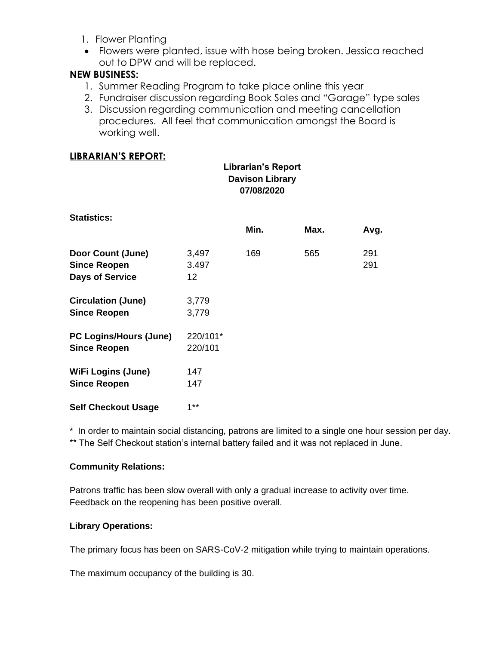- 1. Flower Planting
- Flowers were planted, issue with hose being broken. Jessica reached out to DPW and will be replaced.

# **NEW BUSINESS:**

- 1. Summer Reading Program to take place online this year
- 2. Fundraiser discussion regarding Book Sales and "Garage" type sales
- 3. Discussion regarding communication and meeting cancellation procedures. All feel that communication amongst the Board is working well.

## **LIBRARIAN'S REPORT:**

|                                                                    | <b>Librarian's Report</b><br><b>Davison Library</b> |      |      |            |
|--------------------------------------------------------------------|-----------------------------------------------------|------|------|------------|
| <b>Statistics:</b>                                                 |                                                     | Min. | Max. | Avg.       |
| Door Count (June)<br><b>Since Reopen</b><br><b>Days of Service</b> | 3,497<br>3.497<br>12                                | 169  | 565  | 291<br>291 |
| <b>Circulation (June)</b><br><b>Since Reopen</b>                   | 3,779<br>3,779                                      |      |      |            |
| <b>PC Logins/Hours (June)</b><br><b>Since Reopen</b>               | 220/101*<br>220/101                                 |      |      |            |
| <b>WiFi Logins (June)</b><br><b>Since Reopen</b>                   | 147<br>147                                          |      |      |            |
| <b>Self Checkout Usage</b>                                         | $1***$                                              |      |      |            |

\* In order to maintain social distancing, patrons are limited to a single one hour session per day. \*\* The Self Checkout station's internal battery failed and it was not replaced in June.

#### **Community Relations:**

Patrons traffic has been slow overall with only a gradual increase to activity over time. Feedback on the reopening has been positive overall.

## **Library Operations:**

The primary focus has been on SARS-CoV-2 mitigation while trying to maintain operations.

The maximum occupancy of the building is 30.